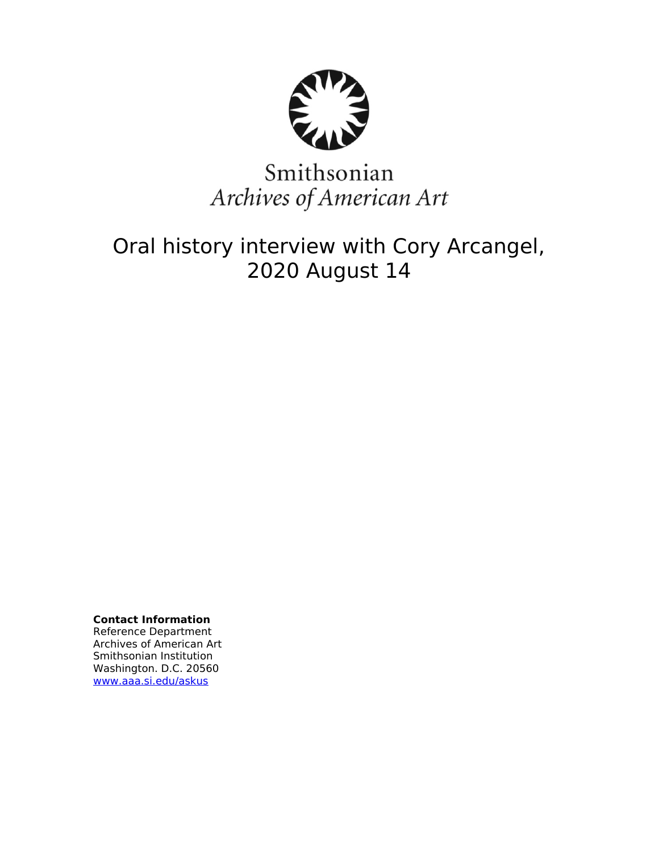

# Smithsonian Archives of American Art

## Oral history interview with Cory Arcangel, 2020 August 14

**Contact Information** Reference Department Archives of American Art Smithsonian Institution Washington. D.C. 20560 [www.aaa.si.edu/askus](http://www.aaa.si.edu/askus)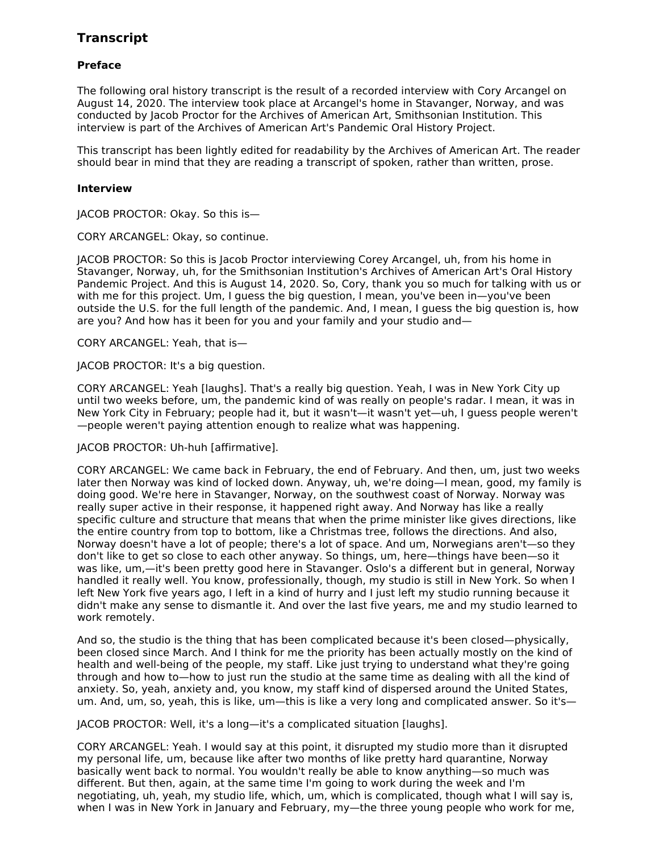### **Transcript**

#### **Preface**

The following oral history transcript is the result of a recorded interview with Cory Arcangel on August 14, 2020. The interview took place at Arcangel's home in Stavanger, Norway, and was conducted by Jacob Proctor for the Archives of American Art, Smithsonian Institution. This interview is part of the Archives of American Art's Pandemic Oral History Project.

This transcript has been lightly edited for readability by the Archives of American Art. The reader should bear in mind that they are reading a transcript of spoken, rather than written, prose.

#### **Interview**

JACOB PROCTOR: Okay. So this is—

CORY ARCANGEL: Okay, so continue.

JACOB PROCTOR: So this is Jacob Proctor interviewing Corey Arcangel, uh, from his home in Stavanger, Norway, uh, for the Smithsonian Institution's Archives of American Art's Oral History Pandemic Project. And this is August 14, 2020. So, Cory, thank you so much for talking with us or with me for this project. Um, I guess the big question, I mean, you've been in—you've been outside the U.S. for the full length of the pandemic. And, I mean, I guess the big question is, how are you? And how has it been for you and your family and your studio and—

CORY ARCANGEL: Yeah, that is—

JACOB PROCTOR: It's a big question.

CORY ARCANGEL: Yeah [laughs]. That's a really big question. Yeah, I was in New York City up until two weeks before, um, the pandemic kind of was really on people's radar. I mean, it was in New York City in February; people had it, but it wasn't—it wasn't yet—uh, I guess people weren't —people weren't paying attention enough to realize what was happening.

JACOB PROCTOR: Uh-huh [affirmative].

CORY ARCANGEL: We came back in February, the end of February. And then, um, just two weeks later then Norway was kind of locked down. Anyway, uh, we're doing—I mean, good, my family is doing good. We're here in Stavanger, Norway, on the southwest coast of Norway. Norway was really super active in their response, it happened right away. And Norway has like a really specific culture and structure that means that when the prime minister like gives directions, like the entire country from top to bottom, like a Christmas tree, follows the directions. And also, Norway doesn't have a lot of people; there's a lot of space. And um, Norwegians aren't—so they don't like to get so close to each other anyway. So things, um, here—things have been—so it was like, um,—it's been pretty good here in Stavanger. Oslo's a different but in general, Norway handled it really well. You know, professionally, though, my studio is still in New York. So when I left New York five years ago, I left in a kind of hurry and I just left my studio running because it didn't make any sense to dismantle it. And over the last five years, me and my studio learned to work remotely.

And so, the studio is the thing that has been complicated because it's been closed—physically, been closed since March. And I think for me the priority has been actually mostly on the kind of health and well-being of the people, my staff. Like just trying to understand what they're going through and how to—how to just run the studio at the same time as dealing with all the kind of anxiety. So, yeah, anxiety and, you know, my staff kind of dispersed around the United States, um. And, um, so, yeah, this is like, um—this is like a very long and complicated answer. So it's—

JACOB PROCTOR: Well, it's a long—it's a complicated situation [laughs].

CORY ARCANGEL: Yeah. I would say at this point, it disrupted my studio more than it disrupted my personal life, um, because like after two months of like pretty hard quarantine, Norway basically went back to normal. You wouldn't really be able to know anything—so much was different. But then, again, at the same time I'm going to work during the week and I'm negotiating, uh, yeah, my studio life, which, um, which is complicated, though what I will say is, when I was in New York in January and February, my—the three young people who work for me,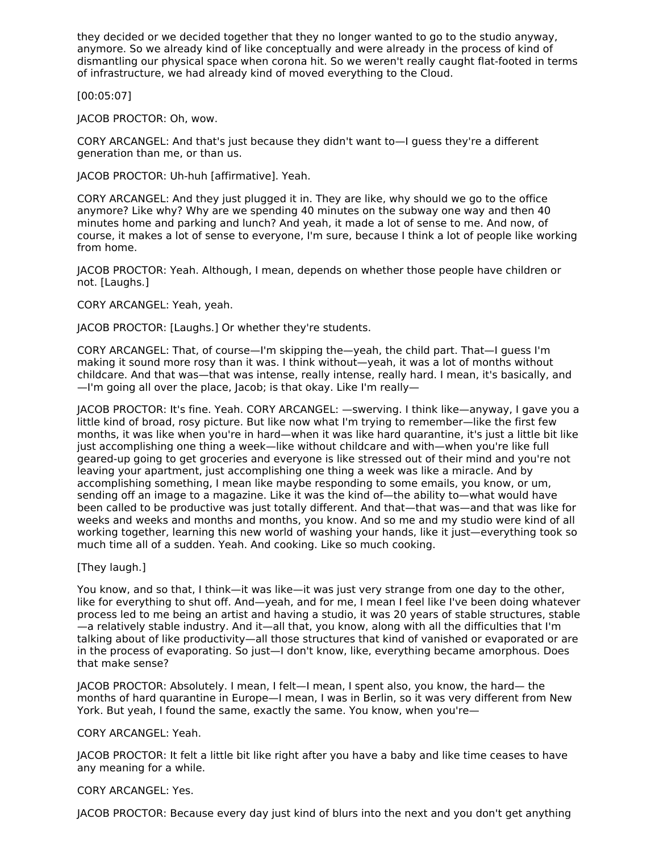they decided or we decided together that they no longer wanted to go to the studio anyway, anymore. So we already kind of like conceptually and were already in the process of kind of dismantling our physical space when corona hit. So we weren't really caught flat-footed in terms of infrastructure, we had already kind of moved everything to the Cloud.

[00:05:07]

JACOB PROCTOR: Oh, wow.

CORY ARCANGEL: And that's just because they didn't want to—I guess they're a different generation than me, or than us.

JACOB PROCTOR: Uh-huh [affirmative]. Yeah.

CORY ARCANGEL: And they just plugged it in. They are like, why should we go to the office anymore? Like why? Why are we spending 40 minutes on the subway one way and then 40 minutes home and parking and lunch? And yeah, it made a lot of sense to me. And now, of course, it makes a lot of sense to everyone, I'm sure, because I think a lot of people like working from home.

JACOB PROCTOR: Yeah. Although, I mean, depends on whether those people have children or not. [Laughs.]

CORY ARCANGEL: Yeah, yeah.

JACOB PROCTOR: [Laughs.] Or whether they're students.

CORY ARCANGEL: That, of course—I'm skipping the—yeah, the child part. That—I guess I'm making it sound more rosy than it was. I think without—yeah, it was a lot of months without childcare. And that was—that was intense, really intense, really hard. I mean, it's basically, and —I'm going all over the place, Jacob; is that okay. Like I'm really—

JACOB PROCTOR: It's fine. Yeah. CORY ARCANGEL: —swerving. I think like—anyway, I gave you a little kind of broad, rosy picture. But like now what I'm trying to remember—like the first few months, it was like when you're in hard—when it was like hard quarantine, it's just a little bit like just accomplishing one thing a week—like without childcare and with—when you're like full geared-up going to get groceries and everyone is like stressed out of their mind and you're not leaving your apartment, just accomplishing one thing a week was like a miracle. And by accomplishing something, I mean like maybe responding to some emails, you know, or um, sending off an image to a magazine. Like it was the kind of—the ability to—what would have been called to be productive was just totally different. And that—that was—and that was like for weeks and weeks and months and months, you know. And so me and my studio were kind of all working together, learning this new world of washing your hands, like it just—everything took so much time all of a sudden. Yeah. And cooking. Like so much cooking.

[They laugh.]

You know, and so that, I think—it was like—it was just very strange from one day to the other, like for everything to shut off. And—yeah, and for me, I mean I feel like I've been doing whatever process led to me being an artist and having a studio, it was 20 years of stable structures, stable —a relatively stable industry. And it—all that, you know, along with all the difficulties that I'm talking about of like productivity—all those structures that kind of vanished or evaporated or are in the process of evaporating. So just—I don't know, like, everything became amorphous. Does that make sense?

JACOB PROCTOR: Absolutely. I mean, I felt—I mean, I spent also, you know, the hard— the months of hard quarantine in Europe—I mean, I was in Berlin, so it was very different from New York. But yeah, I found the same, exactly the same. You know, when you're—

CORY ARCANGEL: Yeah.

JACOB PROCTOR: It felt a little bit like right after you have a baby and like time ceases to have any meaning for a while.

#### CORY ARCANGEL: Yes.

JACOB PROCTOR: Because every day just kind of blurs into the next and you don't get anything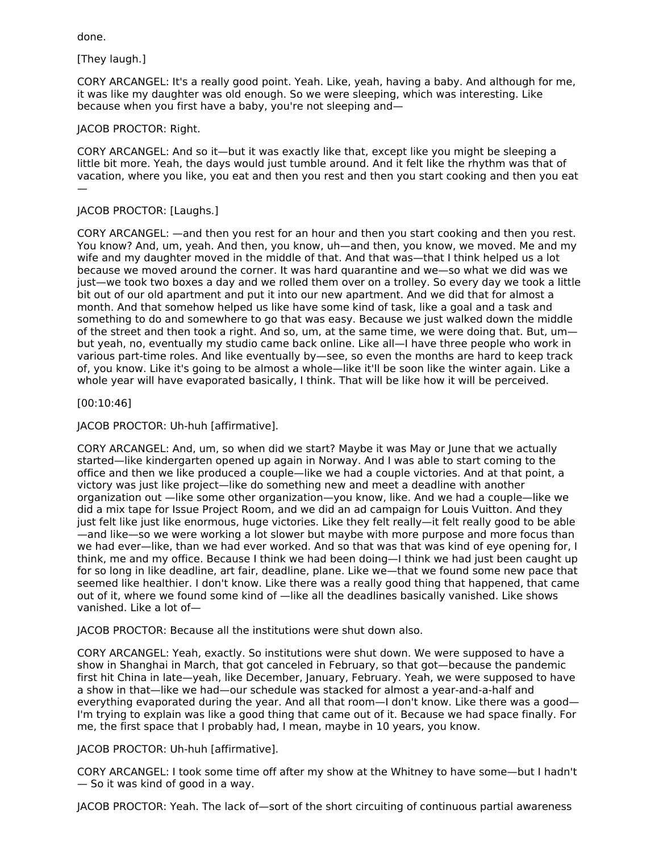done.

[They laugh.]

CORY ARCANGEL: It's a really good point. Yeah. Like, yeah, having a baby. And although for me, it was like my daughter was old enough. So we were sleeping, which was interesting. Like because when you first have a baby, you're not sleeping and—

#### JACOB PROCTOR: Right.

CORY ARCANGEL: And so it—but it was exactly like that, except like you might be sleeping a little bit more. Yeah, the days would just tumble around. And it felt like the rhythm was that of vacation, where you like, you eat and then you rest and then you start cooking and then you eat —

#### JACOB PROCTOR: [Laughs.]

CORY ARCANGEL: —and then you rest for an hour and then you start cooking and then you rest. You know? And, um, yeah. And then, you know, uh—and then, you know, we moved. Me and my wife and my daughter moved in the middle of that. And that was—that I think helped us a lot because we moved around the corner. It was hard quarantine and we—so what we did was we just—we took two boxes a day and we rolled them over on a trolley. So every day we took a little bit out of our old apartment and put it into our new apartment. And we did that for almost a month. And that somehow helped us like have some kind of task, like a goal and a task and something to do and somewhere to go that was easy. Because we just walked down the middle of the street and then took a right. And so, um, at the same time, we were doing that. But, um but yeah, no, eventually my studio came back online. Like all—I have three people who work in various part-time roles. And like eventually by—see, so even the months are hard to keep track of, you know. Like it's going to be almost a whole—like it'll be soon like the winter again. Like a whole year will have evaporated basically, I think. That will be like how it will be perceived.

[00:10:46]

JACOB PROCTOR: Uh-huh [affirmative].

CORY ARCANGEL: And, um, so when did we start? Maybe it was May or June that we actually started—like kindergarten opened up again in Norway. And I was able to start coming to the office and then we like produced a couple—like we had a couple victories. And at that point, a victory was just like project—like do something new and meet a deadline with another organization out —like some other organization—you know, like. And we had a couple—like we did a mix tape for Issue Project Room, and we did an ad campaign for Louis Vuitton. And they just felt like just like enormous, huge victories. Like they felt really—it felt really good to be able —and like—so we were working a lot slower but maybe with more purpose and more focus than we had ever—like, than we had ever worked. And so that was that was kind of eye opening for, I think, me and my office. Because I think we had been doing—I think we had just been caught up for so long in like deadline, art fair, deadline, plane. Like we—that we found some new pace that seemed like healthier. I don't know. Like there was a really good thing that happened, that came out of it, where we found some kind of —like all the deadlines basically vanished. Like shows vanished. Like a lot of—

JACOB PROCTOR: Because all the institutions were shut down also.

CORY ARCANGEL: Yeah, exactly. So institutions were shut down. We were supposed to have a show in Shanghai in March, that got canceled in February, so that got—because the pandemic first hit China in late—yeah, like December, January, February. Yeah, we were supposed to have a show in that—like we had—our schedule was stacked for almost a year-and-a-half and everything evaporated during the year. And all that room—I don't know. Like there was a good— I'm trying to explain was like a good thing that came out of it. Because we had space finally. For me, the first space that I probably had, I mean, maybe in 10 years, you know.

#### JACOB PROCTOR: Uh-huh [affirmative].

CORY ARCANGEL: I took some time off after my show at the Whitney to have some—but I hadn't — So it was kind of good in a way.

JACOB PROCTOR: Yeah. The lack of—sort of the short circuiting of continuous partial awareness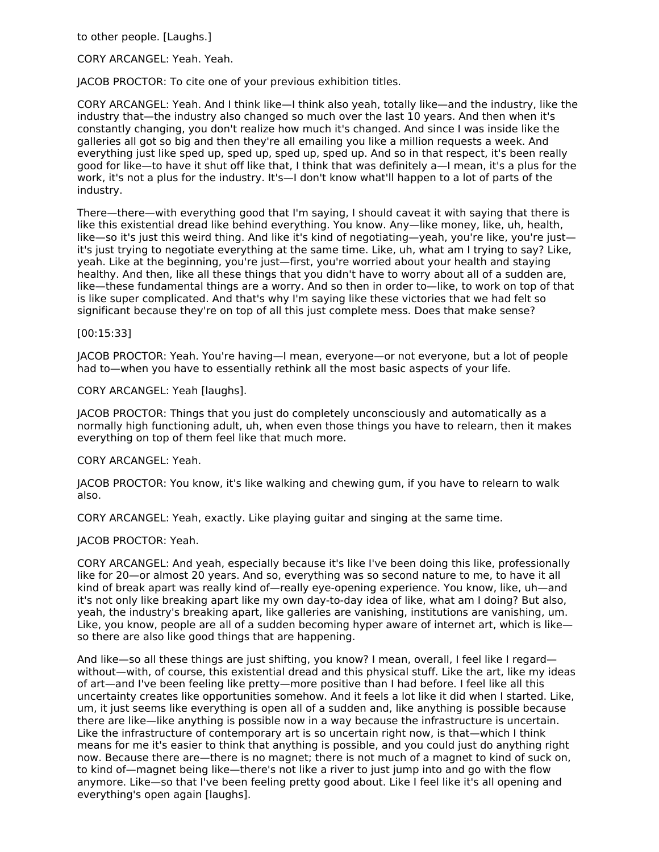to other people. [Laughs.]

CORY ARCANGEL: Yeah. Yeah.

JACOB PROCTOR: To cite one of your previous exhibition titles.

CORY ARCANGEL: Yeah. And I think like—I think also yeah, totally like—and the industry, like the industry that—the industry also changed so much over the last 10 years. And then when it's constantly changing, you don't realize how much it's changed. And since I was inside like the galleries all got so big and then they're all emailing you like a million requests a week. And everything just like sped up, sped up, sped up, sped up. And so in that respect, it's been really good for like—to have it shut off like that, I think that was definitely a—I mean, it's a plus for the work, it's not a plus for the industry. It's—I don't know what'll happen to a lot of parts of the industry.

There—there—with everything good that I'm saying, I should caveat it with saying that there is like this existential dread like behind everything. You know. Any—like money, like, uh, health, like—so it's just this weird thing. And like it's kind of negotiating—yeah, you're like, you're just it's just trying to negotiate everything at the same time. Like, uh, what am I trying to say? Like, yeah. Like at the beginning, you're just—first, you're worried about your health and staying healthy. And then, like all these things that you didn't have to worry about all of a sudden are, like—these fundamental things are a worry. And so then in order to—like, to work on top of that is like super complicated. And that's why I'm saying like these victories that we had felt so significant because they're on top of all this just complete mess. Does that make sense?

[00:15:33]

JACOB PROCTOR: Yeah. You're having—I mean, everyone—or not everyone, but a lot of people had to—when you have to essentially rethink all the most basic aspects of your life.

CORY ARCANGEL: Yeah [laughs].

JACOB PROCTOR: Things that you just do completely unconsciously and automatically as a normally high functioning adult, uh, when even those things you have to relearn, then it makes everything on top of them feel like that much more.

CORY ARCANGEL: Yeah.

JACOB PROCTOR: You know, it's like walking and chewing gum, if you have to relearn to walk also.

CORY ARCANGEL: Yeah, exactly. Like playing guitar and singing at the same time.

JACOB PROCTOR: Yeah.

CORY ARCANGEL: And yeah, especially because it's like I've been doing this like, professionally like for 20—or almost 20 years. And so, everything was so second nature to me, to have it all kind of break apart was really kind of—really eye-opening experience. You know, like, uh—and it's not only like breaking apart like my own day-to-day idea of like, what am I doing? But also, yeah, the industry's breaking apart, like galleries are vanishing, institutions are vanishing, um. Like, you know, people are all of a sudden becoming hyper aware of internet art, which is like so there are also like good things that are happening.

And like—so all these things are just shifting, you know? I mean, overall, I feel like I regard without—with, of course, this existential dread and this physical stuff. Like the art, like my ideas of art—and I've been feeling like pretty—more positive than I had before. I feel like all this uncertainty creates like opportunities somehow. And it feels a lot like it did when I started. Like, um, it just seems like everything is open all of a sudden and, like anything is possible because there are like—like anything is possible now in a way because the infrastructure is uncertain. Like the infrastructure of contemporary art is so uncertain right now, is that—which I think means for me it's easier to think that anything is possible, and you could just do anything right now. Because there are—there is no magnet; there is not much of a magnet to kind of suck on, to kind of—magnet being like—there's not like a river to just jump into and go with the flow anymore. Like—so that I've been feeling pretty good about. Like I feel like it's all opening and everything's open again [laughs].